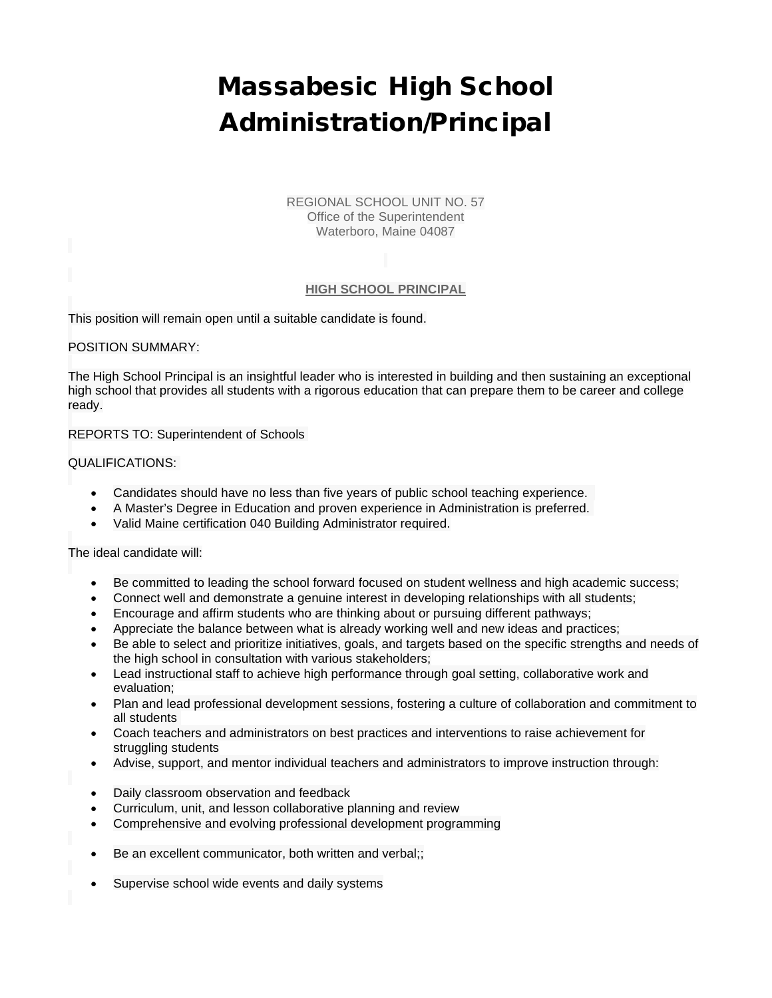## Massabesic High School Administration/Principal

REGIONAL SCHOOL UNIT NO. 57 Office of the Superintendent Waterboro, Maine 04087

## **HIGH SCHOOL PRINCIPAL**

This position will remain open until a suitable candidate is found.

## POSITION SUMMARY:

The High School Principal is an insightful leader who is interested in building and then sustaining an exceptional high school that provides all students with a rigorous education that can prepare them to be career and college ready.

REPORTS TO: Superintendent of Schools

## QUALIFICATIONS:

- Candidates should have no less than five years of public school teaching experience.
- A Master's Degree in Education and proven experience in Administration is preferred.
- Valid Maine certification 040 Building Administrator required.

The ideal candidate will:

- Be committed to leading the school forward focused on student wellness and high academic success;
- Connect well and demonstrate a genuine interest in developing relationships with all students;
- Encourage and affirm students who are thinking about or pursuing different pathways;
- Appreciate the balance between what is already working well and new ideas and practices;
- Be able to select and prioritize initiatives, goals, and targets based on the specific strengths and needs of the high school in consultation with various stakeholders;
- Lead instructional staff to achieve high performance through goal setting, collaborative work and evaluation;
- Plan and lead professional development sessions, fostering a culture of collaboration and commitment to all students
- Coach teachers and administrators on best practices and interventions to raise achievement for struggling students
- Advise, support, and mentor individual teachers and administrators to improve instruction through:
- Daily classroom observation and feedback
- Curriculum, unit, and lesson collaborative planning and review
- Comprehensive and evolving professional development programming
- Be an excellent communicator, both written and verbal;;
- Supervise school wide events and daily systems